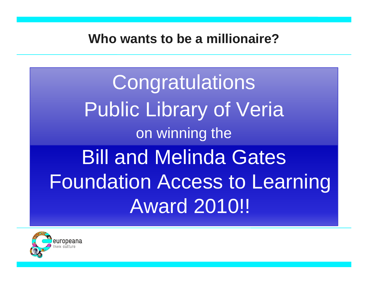**Congratulations** Public Library of Veria on winning the Bill and Melinda Gates Foundation Access to Learning Award 2010!!

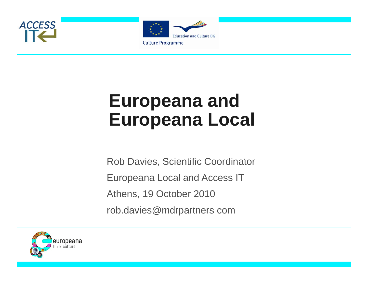



# **Europeana and Europeana Local**

Rob Davies, Scientific Coordinator Europeana Local and Access IT Athens, 19 October 2010 rob.davies@mdrpartners com

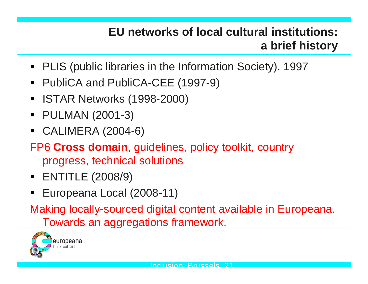#### **EU networks of local cultural institutions: a brief history**

- PLIS (public libraries in the Information Society). 1997
- $\blacksquare$ ■ PubliCA and PubliCA-CEE (1997-9)
- $\blacksquare$ ISTAR Networks (1998-2000)
- $\blacksquare$ PULMAN (2001-3)
- CALIMERA (2004-6)
- FP6 **Cross domain**, guidelines, policy toolkit, country progress, technical solutions
- ENTITLE (2008/9)
- $\blacksquare$ ■ Europeana Local (2008-11)

Making locally-sourced digital content available in Europeana. Towards an aggregations framework.

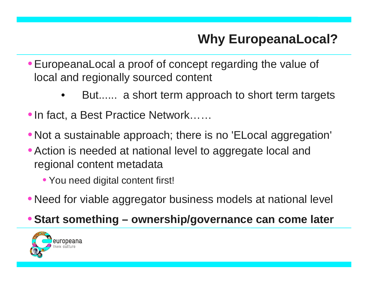## **Why EuropeanaLocal?**

- •EuropeanaLocal a proof of concept regarding the value of local and regionally sourced content
	- •But...... a short term approach to short term targets
- •In fact, a Best Practice Network……
- Not a sustainable approach; there is no 'ELocal aggregation'
- •Action is needed at national level to aggregate local and regional content metadata
	- You need digital content first!
- Need for viable aggregator business models at national level

#### •**Start something – ownership/governance can come later**

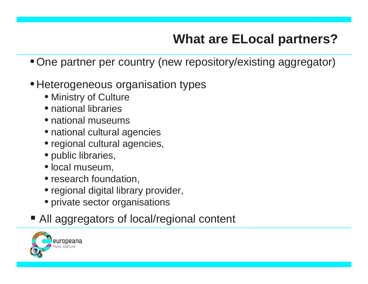## **What are ELocal partners?**

- One partner per country (new repository/existing aggregator)
- $\bullet$  Heterogeneous organisation types
	- Ministry of Culture
	- national libraries
	- national museums
	- national cultural agencies
	- regional cultural agencies,
	- $\bullet$  public libraries,
	- local museum,
	- research foundation,
	- $\bullet$  regional digital library provider,
	- private sector organisations
- All aggregators of local/regional content

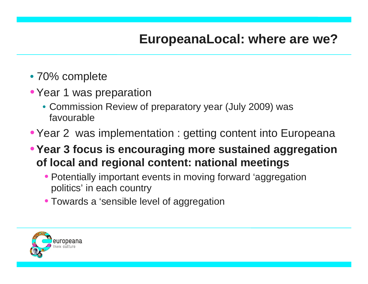- 70% complete
- Year 1 was preparation
	- Commission Review of preparatory year (July 2009) was favourable
- Year 2 was implementation : getting content into Europeana
- •**Year 3 focus is encouraging more sustained aggregation**  of local and regional content: national meetings
	- Potentially important events in moving forward 'aggregation politics' in each country
	- Towards a 'sensible level of aggregation

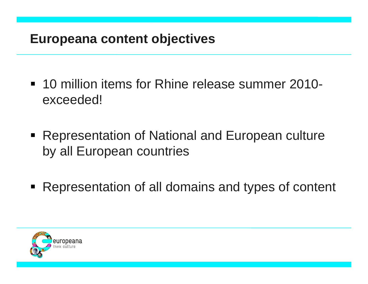### **Europeana content objectives**

- 10 million items for Rhine release summer 2010exceeded!
- Representation of National and European culture by all European countries
- Representation of all domains and types of content

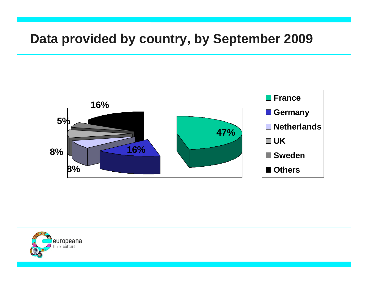#### **Data provided by country, by September 2009**



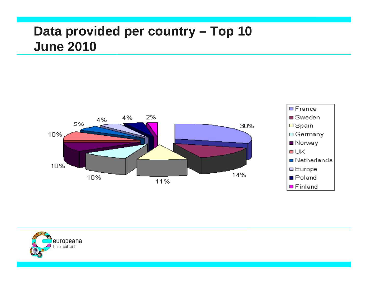### **Data provided per country – Top 10 June 2010**



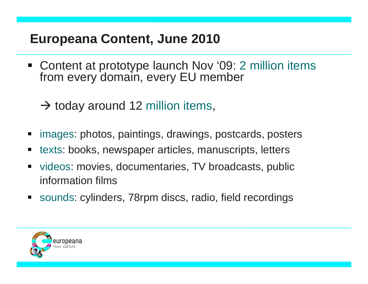### **Europeana Content, June 2010**

- Content at prototype launch Nov '09: 2 million items from every domain, every EU member
	- $\rightarrow$  today around 12 million items,
- н images: photos, paintings, drawings, postcards, posters
- П texts: books, newspaper articles, manuscripts, letters
- $\blacksquare$  videos: movies, documentaries, TV broadcasts, public information films
- sounds: cylinders, 78rpm discs, radio, field recordings

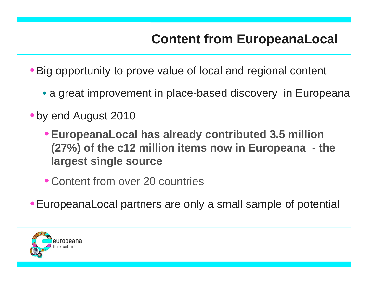- Big opportunity to prove value of local and regional content
	- a great improvement in place-based discovery in Europeana
- by end August 2010
	- •**EuropeanaLocal has already contributed 3.5 million (27%) of the c12 million items now in Europeana - the largest single source**
	- Content from over 20 countries
- •EuropeanaLocal partners are only a small sample of potential

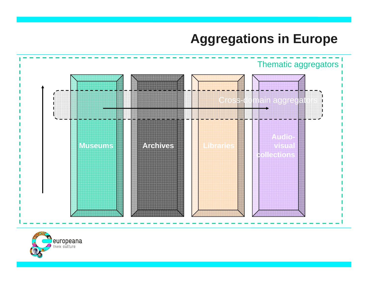#### **Aggregations in Europe**



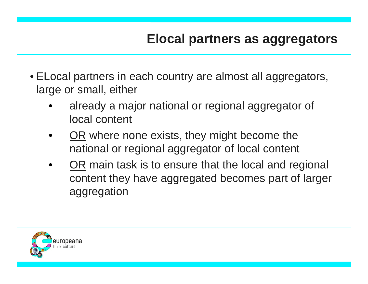- ELocal partners in each country are almost all aggregators, large or small, either
	- • already a major national or regional aggregator of local content
	- •• OR where none exists, they might become the national or regional aggregator of local content
	- •• OR main task is to ensure that the local and regional content they have aggregated becomes part of larger aggregation

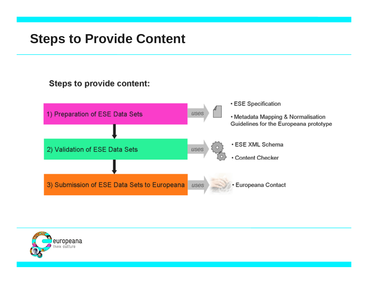#### **Steps to Provide Content**

#### Steps to provide content:



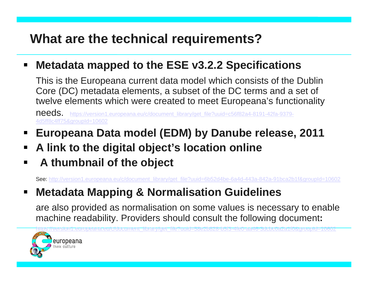### **What are the technical requirements?**

#### $\blacksquare$ **Metadata mapped to the ESE v3.2.2 Specifications**

This is the Europeana current data model which consists of the Dublin Core (DC) metadata elements, a subset of the DC terms and a set of twelve elements which were created to meet Europeana's functionality

needs. https://version1.europeana.eu/c/document\_library/get\_file?uuid=c56f82a4-8191-42fa-9379-<u>4d5ff8c4ff75&groupId=10602</u>

- $\blacksquare$ **Europeana Data model (EDM) by Danube release, 2011**
- $\blacksquare$ **A link to the digital object's location online**
- E **A th b il f th bj t thum bnail o the objec**

<u>peana.eu/c/document\_librar</u>

See: http://version1.europeana.eu/c/document\_library/get\_file?uuid=6b52d4be-6a4d-443a-842a-91bca2b1f&groupId=10602

#### $\blacksquare$ **Metadata Mapping & Normalisation Guidelines**

are also provided as normalisation on some values is necessary to enable machine readability. Providers should consult the following document**:**

<u>y/get\_file?uuid=58e2b828-b5f3-4fe0-aa46-3dcbc0a2a1f0&</u>

<u>group</u>

pId=10602

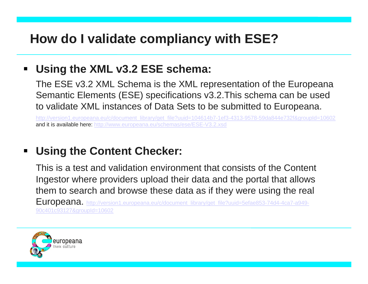### **How do I validate compliancy with ESE?**

#### $\blacksquare$ **Using the XML v3.2 ESE schema:**

The ESE v3.2 XML Schema is the XML representation of the Europeana Semantic Elements (ESE) specifications v3.2.This schema can be used to validate XML instances of Data Sets to be submitted to Europeana.

http://version1.europeana.eu/c/document\_library/get\_file?uuid=104614b7-1ef3-4313-9578-59da844e732f&groupId=10602 **and it is available here:** <u>http://www.europeana.eu/schemas/ese/ESE-V3.2.xsd</u>

#### $\blacksquare$ **Using the Content Checker:**

This is a test and validation environment that consists of the Content Ingestor where providers upload their data and the portal that allows them to search and browse these data as if they were using the real

Europeana. http://version1.europeana.eu/c/document\_library/get\_file?uuid=5efae853-74d4-4ca7-a949- 90c401c93127&groupId=10602

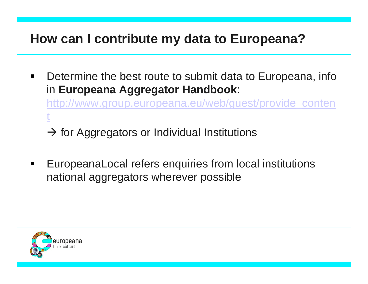#### **How can I contribute my data to Europeana?**

 $\blacksquare$  Determine the best route to submit data to Europeana, info in **Europeana Aggregator Handbook** :

http://www.group.europeana.eu/web/guest/provide\_conten t

 $\rightarrow$  for Aggregators or Individual Institutions

 $\blacksquare$ ■ EuropeanaLocal refers enquiries from local institutions national aggregators wherever possible

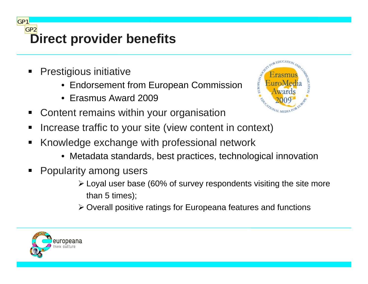**Direct provider benefits** GP2

 $\blacksquare$ Prestigious initiative

GP1

- •Endorsement from European Commission
- Erasmus Award 2009



- $\blacksquare$ Content remains within your organisation
- $\blacksquare$ • Increase traffic to your site (view content in context)
- $\blacksquare$  Knowledge exchange with professional network
	- $\bullet\,$  Metadata standards, best practices, technological innovation
- П Popularity among users
	- $\triangleright$  Loyal user base (60% of survey respondents visiting the site more than 5 times);
	- ¾ Overall positive ratings for Europeana features and functions

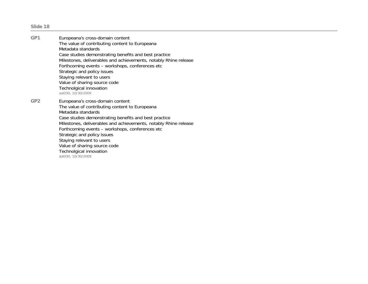**Slide 18**

**GP1** Europeana's cross-domain content The value of contributing content to Europeana Metadata standardsCase studies demonstrating benefits and best practice Milestones, deliverables and achievements, notably Rhine release Forthcoming events – workshops, conferences etc Strategic and policy issues Staying relevant to users Value of sharing source code Technolgical innovation aal030, 10/30/2009 **GP2** Europeana's cross-domain content The value of contributing content to Europeana Metadata standardsCase studies demonstrating benefits and best practice Milestones, deliverables and achievements, notably Rhine release Forthcoming events – workshops, conferences etc Strategic and policy issues Staying relevant to users Value of sharing source code Technolgical innovation aal030, 10/30/2009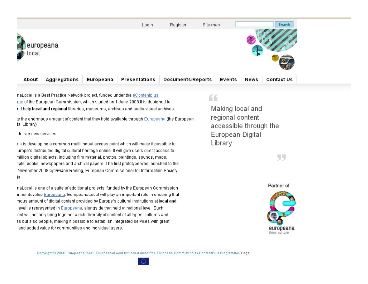

naLocal is a Best Practice Network project, funded under the eContentplus me of the European Commission, which started on 1 June 2008.It is designed to nd help local and regional libraries, museums, archives and audio-visual archives:

the enormous amount of content that they hold available through Europeana (the European tal Library)

#### deliver new services.

<u>na</u> is developing a common multilingual access point which will make it possible to turope's distributed digital cultural heritage online. It will give users direct access to million digital objects, including film material, photos, paintings, sounds, maps, ripts, books, newspapers and archival papers. The first prototype was launched to the November 2008 by Viviane Reding, European Commissioner for Information Society ia.

naLocal is one of a suite of additional projects, funded by the European Commission irther develop Europeana. EuropeanaLocal will play an important role in ensuring that mous amount of digital content provided by Europe's cultural institutions at local and level is represented in Europeana, alongside that held at national level. Such ent will not only bring together a rich diversity of content of all types, cultures and es but also people, making it possible to establish integrated services with great and added value for communities and individual users.

#### 66

Making local and regional content accessible through the European Digital Library

55



Copyright @ 2008 EuropeanaLocal. EuropeanaLocal is funded under the European Commission's eContentPlus Programme. Legal